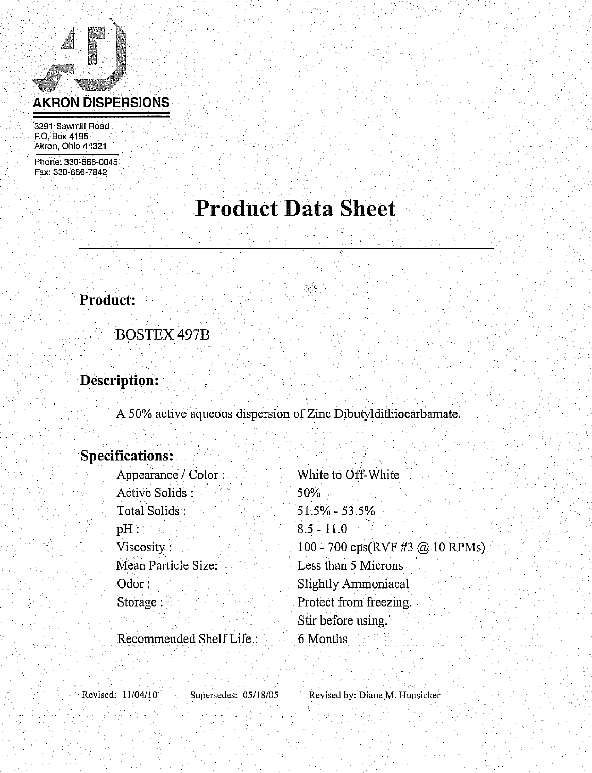# **AKRON DISPERSIONS**

3291 Sawmill Road P.O. Box 4195 Akron, Ohio 44321

Phone: 330-666-0045 Fax: 330-666-7842

# **Product Data Sheet**

## Product:

**BOSTEX 497B** 

## Description:

A 50% active aqueous dispersion of Zinc Dibutyldithiocarbamate.

## **Specifications:**

| White to Off-White                                         |
|------------------------------------------------------------|
| 50%                                                        |
| $51.5\% - 53.5\%$                                          |
| $8.5 - 11.0$                                               |
| 100 - 700 $\text{cps(RVF \#3} \text{ @ } 10 \text{ RPMs})$ |
| Less than 5 Microns                                        |
| <b>Slightly Ammoniacal</b>                                 |
| Protect from freezing.                                     |
| Stir before using.                                         |
| 6 Months                                                   |
|                                                            |

Revised: 11/04/10

Supersedes: 05/18/05

Revised by: Diane M. Hunsicker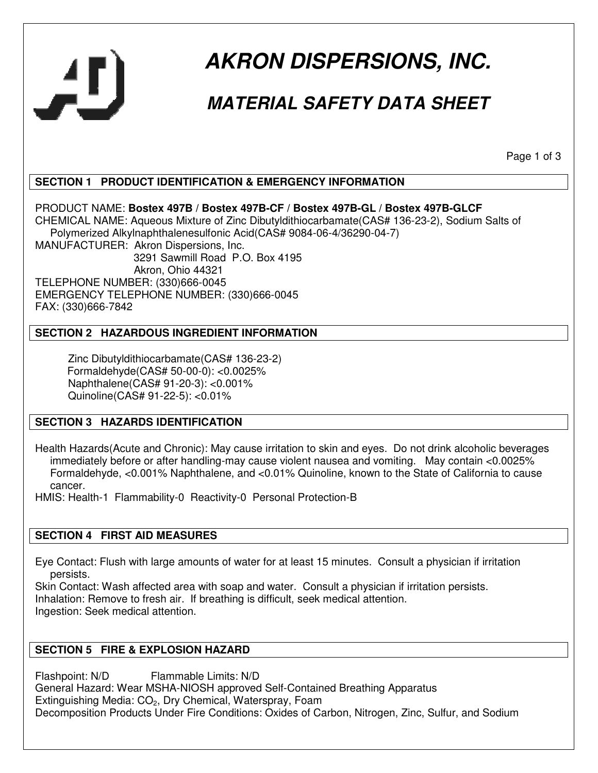

# **AKRON DISPERSIONS, INC.**

## **MATERIAL SAFETY DATA SHEET**

Page 1 of 3

#### **SECTION 1 PRODUCT IDENTIFICATION & EMERGENCY INFORMATION**

PRODUCT NAME: **Bostex 497B / Bostex 497B-CF / Bostex 497B-GL / Bostex 497B-GLCF** CHEMICAL NAME: Aqueous Mixture of Zinc Dibutyldithiocarbamate(CAS# 136-23-2), Sodium Salts of Polymerized Alkylnaphthalenesulfonic Acid(CAS# 9084-06-4/36290-04-7) MANUFACTURER: Akron Dispersions, Inc. 3291 Sawmill Road P.O. Box 4195

 Akron, Ohio 44321 TELEPHONE NUMBER: (330)666-0045 EMERGENCY TELEPHONE NUMBER: (330)666-0045 FAX: (330)666-7842

#### **SECTION 2 HAZARDOUS INGREDIENT INFORMATION**

 Zinc Dibutyldithiocarbamate(CAS# 136-23-2) Formaldehyde(CAS# 50-00-0): <0.0025% Naphthalene(CAS# 91-20-3): <0.001% Quinoline(CAS# 91-22-5): <0.01%

#### **SECTION 3 HAZARDS IDENTIFICATION**

Health Hazards(Acute and Chronic): May cause irritation to skin and eyes. Do not drink alcoholic beverages immediately before or after handling-may cause violent nausea and vomiting. May contain <0.0025% Formaldehyde, <0.001% Naphthalene, and <0.01% Quinoline, known to the State of California to cause cancer.

HMIS: Health-1 Flammability-0 Reactivity-0 Personal Protection-B

#### **SECTION 4 FIRST AID MEASURES**

Eye Contact: Flush with large amounts of water for at least 15 minutes. Consult a physician if irritation persists.

Skin Contact: Wash affected area with soap and water. Consult a physician if irritation persists. Inhalation: Remove to fresh air. If breathing is difficult, seek medical attention. Ingestion: Seek medical attention.

#### **SECTION 5 FIRE & EXPLOSION HAZARD**

Flashpoint: N/D Flammable Limits: N/D General Hazard: Wear MSHA-NIOSH approved Self-Contained Breathing Apparatus Extinguishing Media: CO<sub>2</sub>, Dry Chemical, Waterspray, Foam Decomposition Products Under Fire Conditions: Oxides of Carbon, Nitrogen, Zinc, Sulfur, and Sodium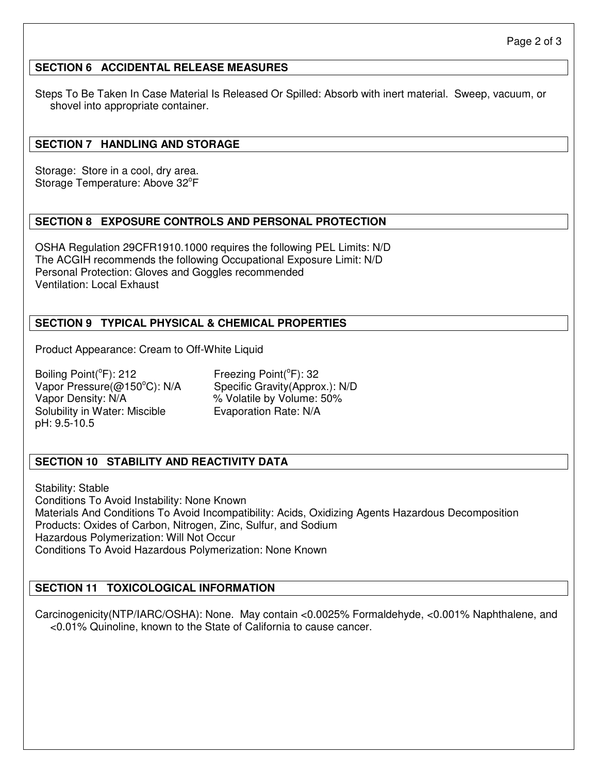#### **SECTION 6 ACCIDENTAL RELEASE MEASURES**

Steps To Be Taken In Case Material Is Released Or Spilled: Absorb with inert material. Sweep, vacuum, or shovel into appropriate container.

#### **SECTION 7 HANDLING AND STORAGE**

Storage: Store in a cool, dry area. Storage Temperature: Above 32°F

#### **SECTION 8 EXPOSURE CONTROLS AND PERSONAL PROTECTION**

OSHA Regulation 29CFR1910.1000 requires the following PEL Limits: N/D The ACGIH recommends the following Occupational Exposure Limit: N/D Personal Protection: Gloves and Goggles recommended Ventilation: Local Exhaust

#### **SECTION 9 TYPICAL PHYSICAL & CHEMICAL PROPERTIES**

Product Appearance: Cream to Off-White Liquid

Boiling Point( ${}^{\circ}$ Freezing Point( ${}^{\circ}$ F): 32 Vapor Pressure(@150°C): N/A Specific Gravity(Approx.): N/D Vapor Density: N/A  $\%$  Volatile by Volume: 50% Solubility in Water: Miscible **Evaporation Rate: N/A** pH: 9.5-10.5

#### **SECTION 10 STABILITY AND REACTIVITY DATA**

Stability: Stable Conditions To Avoid Instability: None Known Materials And Conditions To Avoid Incompatibility: Acids, Oxidizing Agents Hazardous Decomposition Products: Oxides of Carbon, Nitrogen, Zinc, Sulfur, and Sodium Hazardous Polymerization: Will Not Occur Conditions To Avoid Hazardous Polymerization: None Known

#### **SECTION 11 TOXICOLOGICAL INFORMATION**

Carcinogenicity(NTP/IARC/OSHA): None. May contain <0.0025% Formaldehyde, <0.001% Naphthalene, and <0.01% Quinoline, known to the State of California to cause cancer.